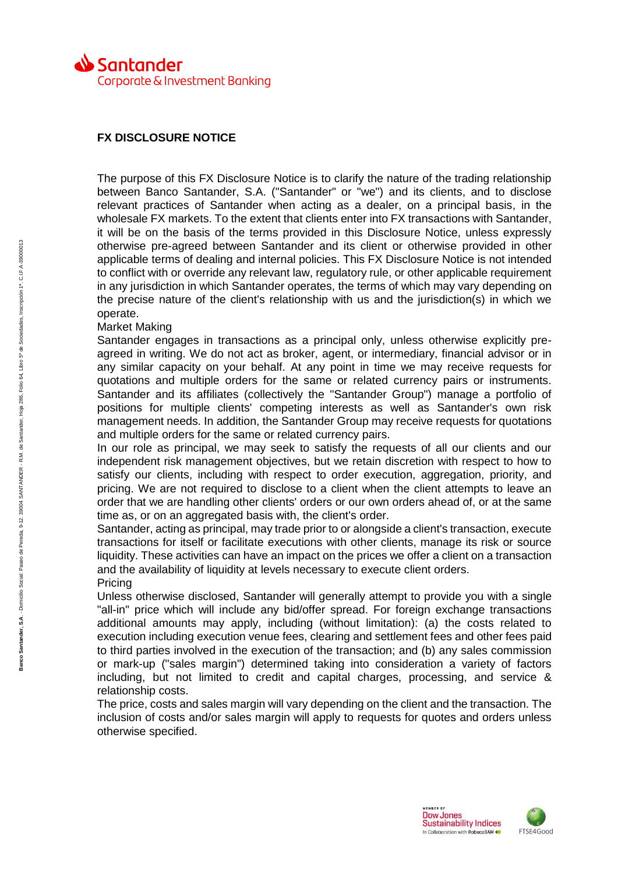

## **FX DISCLOSURE NOTICE**

The purpose of this FX Disclosure Notice is to clarify the nature of the trading relationship between Banco Santander, S.A. ("Santander" or "we") and its clients, and to disclose relevant practices of Santander when acting as a dealer, on a principal basis, in the wholesale FX markets. To the extent that clients enter into FX transactions with Santander, it will be on the basis of the terms provided in this Disclosure Notice, unless expressly otherwise pre-agreed between Santander and its client or otherwise provided in other applicable terms of dealing and internal policies. This FX Disclosure Notice is not intended to conflict with or override any relevant law, regulatory rule, or other applicable requirement in any jurisdiction in which Santander operates, the terms of which may vary depending on the precise nature of the client's relationship with us and the jurisdiction(s) in which we operate.

## Market Making

Santander engages in transactions as a principal only, unless otherwise explicitly preagreed in writing. We do not act as broker, agent, or intermediary, financial advisor or in any similar capacity on your behalf. At any point in time we may receive requests for quotations and multiple orders for the same or related currency pairs or instruments. Santander and its affiliates (collectively the "Santander Group") manage a portfolio of positions for multiple clients' competing interests as well as Santander's own risk management needs. In addition, the Santander Group may receive requests for quotations and multiple orders for the same or related currency pairs.

In our role as principal, we may seek to satisfy the requests of all our clients and our independent risk management objectives, but we retain discretion with respect to how to satisfy our clients, including with respect to order execution, aggregation, priority, and pricing. We are not required to disclose to a client when the client attempts to leave an order that we are handling other clients' orders or our own orders ahead of, or at the same time as, or on an aggregated basis with, the client's order.

Santander, acting as principal, may trade prior to or alongside a client's transaction, execute transactions for itself or facilitate executions with other clients, manage its risk or source liquidity. These activities can have an impact on the prices we offer a client on a transaction and the availability of liquidity at levels necessary to execute client orders. Pricing

Unless otherwise disclosed, Santander will generally attempt to provide you with a single "all-in" price which will include any bid/offer spread. For foreign exchange transactions additional amounts may apply, including (without limitation): (a) the costs related to execution including execution venue fees, clearing and settlement fees and other fees paid to third parties involved in the execution of the transaction; and (b) any sales commission or mark-up ("sales margin") determined taking into consideration a variety of factors including, but not limited to credit and capital charges, processing, and service & relationship costs.

The price, costs and sales margin will vary depending on the client and the transaction. The inclusion of costs and/or sales margin will apply to requests for quotes and orders unless otherwise specified.

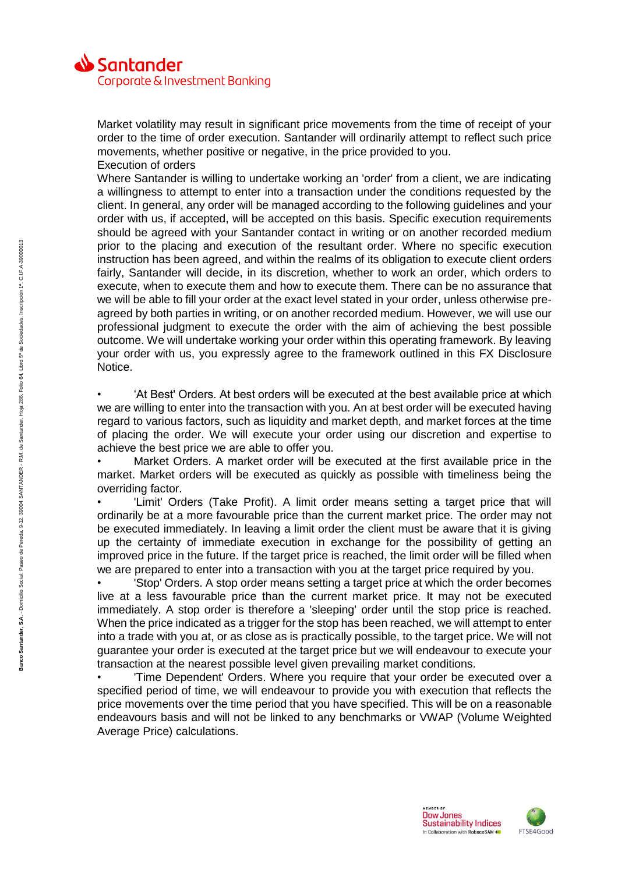

Market volatility may result in significant price movements from the time of receipt of your order to the time of order execution. Santander will ordinarily attempt to reflect such price movements, whether positive or negative, in the price provided to you. Execution of orders

Where Santander is willing to undertake working an 'order' from a client, we are indicating a willingness to attempt to enter into a transaction under the conditions requested by the client. In general, any order will be managed according to the following guidelines and your order with us, if accepted, will be accepted on this basis. Specific execution requirements should be agreed with your Santander contact in writing or on another recorded medium prior to the placing and execution of the resultant order. Where no specific execution instruction has been agreed, and within the realms of its obligation to execute client orders fairly, Santander will decide, in its discretion, whether to work an order, which orders to execute, when to execute them and how to execute them. There can be no assurance that we will be able to fill your order at the exact level stated in your order, unless otherwise preagreed by both parties in writing, or on another recorded medium. However, we will use our professional judgment to execute the order with the aim of achieving the best possible outcome. We will undertake working your order within this operating framework. By leaving your order with us, you expressly agree to the framework outlined in this FX Disclosure Notice.

• 'At Best' Orders. At best orders will be executed at the best available price at which we are willing to enter into the transaction with you. An at best order will be executed having regard to various factors, such as liquidity and market depth, and market forces at the time of placing the order. We will execute your order using our discretion and expertise to achieve the best price we are able to offer you.

Market Orders. A market order will be executed at the first available price in the market. Market orders will be executed as quickly as possible with timeliness being the overriding factor.

'Limit' Orders (Take Profit). A limit order means setting a target price that will ordinarily be at a more favourable price than the current market price. The order may not be executed immediately. In leaving a limit order the client must be aware that it is giving up the certainty of immediate execution in exchange for the possibility of getting an improved price in the future. If the target price is reached, the limit order will be filled when we are prepared to enter into a transaction with you at the target price required by you.

• 'Stop' Orders. A stop order means setting a target price at which the order becomes live at a less favourable price than the current market price. It may not be executed immediately. A stop order is therefore a 'sleeping' order until the stop price is reached. When the price indicated as a trigger for the stop has been reached, we will attempt to enter into a trade with you at, or as close as is practically possible, to the target price. We will not guarantee your order is executed at the target price but we will endeavour to execute your transaction at the nearest possible level given prevailing market conditions.

• 'Time Dependent' Orders. Where you require that your order be executed over a specified period of time, we will endeavour to provide you with execution that reflects the price movements over the time period that you have specified. This will be on a reasonable endeavours basis and will not be linked to any benchmarks or VWAP (Volume Weighted Average Price) calculations.

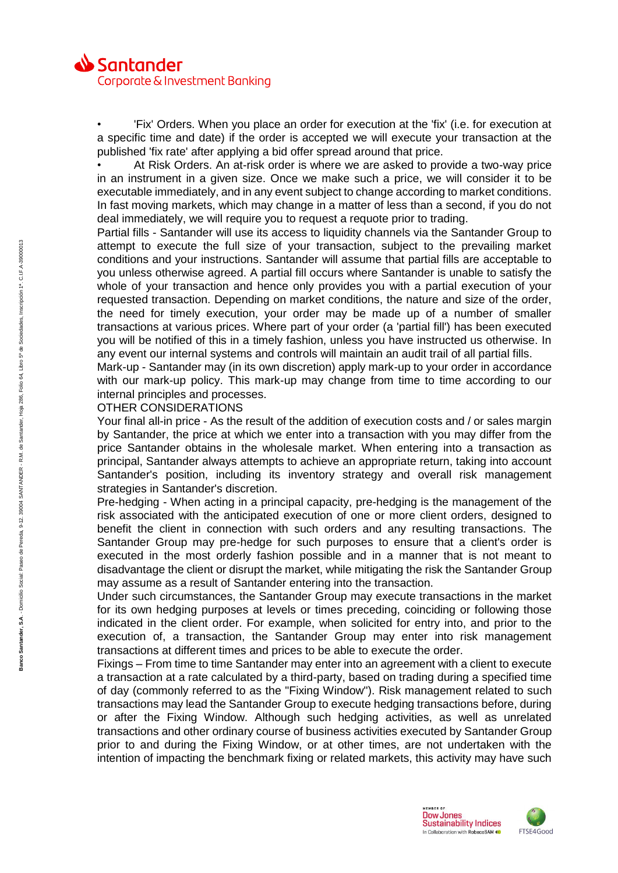

• 'Fix' Orders. When you place an order for execution at the 'fix' (i.e. for execution at a specific time and date) if the order is accepted we will execute your transaction at the published 'fix rate' after applying a bid offer spread around that price.

• At Risk Orders. An at-risk order is where we are asked to provide a two-way price in an instrument in a given size. Once we make such a price, we will consider it to be executable immediately, and in any event subject to change according to market conditions. In fast moving markets, which may change in a matter of less than a second, if you do not deal immediately, we will require you to request a requote prior to trading.

Partial fills - Santander will use its access to liquidity channels via the Santander Group to attempt to execute the full size of your transaction, subject to the prevailing market conditions and your instructions. Santander will assume that partial fills are acceptable to you unless otherwise agreed. A partial fill occurs where Santander is unable to satisfy the whole of your transaction and hence only provides you with a partial execution of your requested transaction. Depending on market conditions, the nature and size of the order, the need for timely execution, your order may be made up of a number of smaller transactions at various prices. Where part of your order (a 'partial fill') has been executed you will be notified of this in a timely fashion, unless you have instructed us otherwise. In any event our internal systems and controls will maintain an audit trail of all partial fills.

Mark-up - Santander may (in its own discretion) apply mark-up to your order in accordance with our mark-up policy. This mark-up may change from time to time according to our internal principles and processes.

## OTHER CONSIDERATIONS

Your final all-in price - As the result of the addition of execution costs and / or sales margin by Santander, the price at which we enter into a transaction with you may differ from the price Santander obtains in the wholesale market. When entering into a transaction as principal, Santander always attempts to achieve an appropriate return, taking into account Santander's position, including its inventory strategy and overall risk management strategies in Santander's discretion.

Pre-hedging - When acting in a principal capacity, pre-hedging is the management of the risk associated with the anticipated execution of one or more client orders, designed to benefit the client in connection with such orders and any resulting transactions. The Santander Group may pre-hedge for such purposes to ensure that a client's order is executed in the most orderly fashion possible and in a manner that is not meant to disadvantage the client or disrupt the market, while mitigating the risk the Santander Group may assume as a result of Santander entering into the transaction.

Under such circumstances, the Santander Group may execute transactions in the market for its own hedging purposes at levels or times preceding, coinciding or following those indicated in the client order. For example, when solicited for entry into, and prior to the execution of, a transaction, the Santander Group may enter into risk management transactions at different times and prices to be able to execute the order.

Fixings – From time to time Santander may enter into an agreement with a client to execute a transaction at a rate calculated by a third-party, based on trading during a specified time of day (commonly referred to as the "Fixing Window"). Risk management related to such transactions may lead the Santander Group to execute hedging transactions before, during or after the Fixing Window. Although such hedging activities, as well as unrelated transactions and other ordinary course of business activities executed by Santander Group prior to and during the Fixing Window, or at other times, are not undertaken with the intention of impacting the benchmark fixing or related markets, this activity may have such

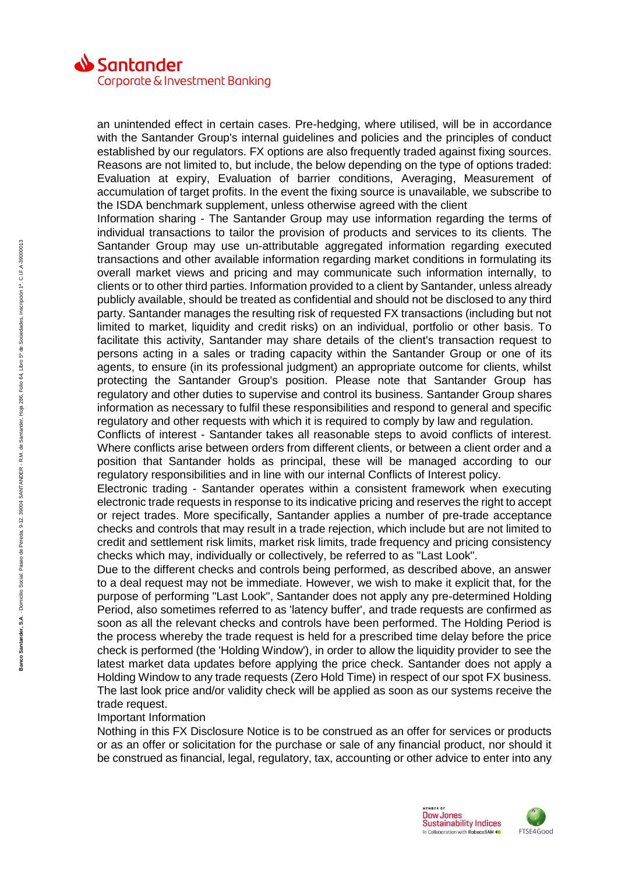

an unintended effect in certain cases. Pre-hedging, where utilised, will be in accordance with the Santander Group's internal guidelines and policies and the principles of conduct established by our regulators. FX options are also frequently traded against fixing sources. Reasons are not limited to, but include, the below depending on the type of options traded: Evaluation at expiry, Evaluation of barrier conditions, Averaging, Measurement of accumulation of target profits. In the event the fixing source is unavailable, we subscribe to the ISDA benchmark supplement, unless otherwise agreed with the client

Information sharing - The Santander Group may use information regarding the terms of individual transactions to tailor the provision of products and services to its clients. The Santander Group may use un-attributable aggregated information regarding executed transactions and other available information regarding market conditions in formulating its overall market views and pricing and may communicate such information internally, to clients or to other third parties. Information provided to a client by Santander, unless already publicly available, should be treated as confidential and should not be disclosed to any third party. Santander manages the resulting risk of requested FX transactions (including but not limited to market, liquidity and credit risks) on an individual, portfolio or other basis. To facilitate this activity, Santander may share details of the client's transaction request to persons acting in a sales or trading capacity within the Santander Group or one of its agents, to ensure (in its professional judgment) an appropriate outcome for clients, whilst protecting the Santander Group's position. Please note that Santander Group has regulatory and other duties to supervise and control its business. Santander Group shares information as necessary to fulfil these responsibilities and respond to general and specific regulatory and other requests with which it is required to comply by law and regulation.

Conflicts of interest - Santander takes all reasonable steps to avoid conflicts of interest. Where conflicts arise between orders from different clients, or between a client order and a position that Santander holds as principal, these will be managed according to our regulatory responsibilities and in line with our internal Conflicts of Interest policy.

Electronic trading - Santander operates within a consistent framework when executing electronic trade requests in response to its indicative pricing and reserves the right to accept or reject trades. More specifically, Santander applies a number of pre-trade acceptance checks and controls that may result in a trade rejection, which include but are not limited to credit and settlement risk limits, market risk limits, trade frequency and pricing consistency checks which may, individually or collectively, be referred to as "Last Look".

Due to the different checks and controls being performed, as described above, an answer to a deal request may not be immediate. However, we wish to make it explicit that, for the purpose of performing "Last Look", Santander does not apply any pre-determined Holding Period, also sometimes referred to as 'latency buffer', and trade requests are confirmed as soon as all the relevant checks and controls have been performed. The Holding Period is the process whereby the trade request is held for a prescribed time delay before the price check is performed (the 'Holding Window'), in order to allow the liquidity provider to see the latest market data updates before applying the price check. Santander does not apply a Holding Window to any trade requests (Zero Hold Time) in respect of our spot FX business. The last look price and/or validity check will be applied as soon as our systems receive the trade request.

## Important Information

Nothing in this FX Disclosure Notice is to be construed as an offer for services or products or as an offer or solicitation for the purchase or sale of any financial product, nor should it be construed as financial, legal, regulatory, tax, accounting or other advice to enter into any